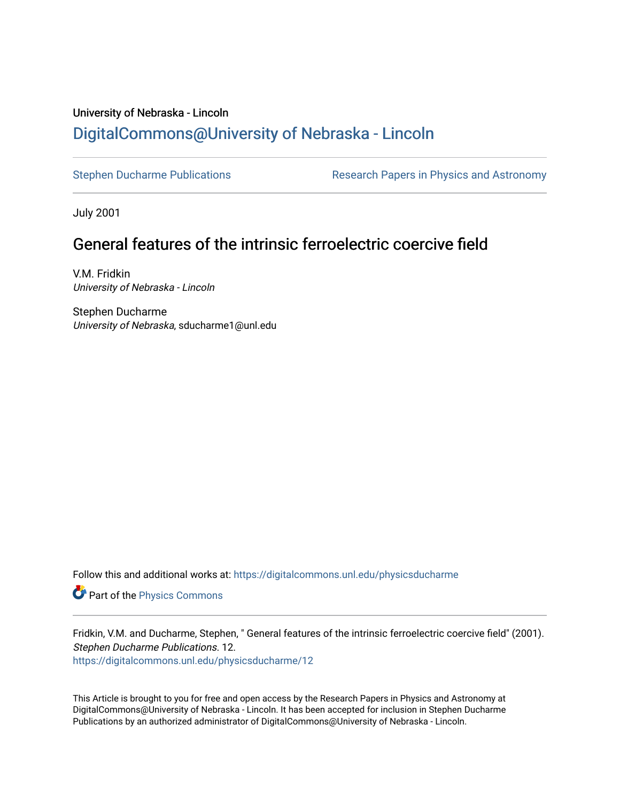# University of Nebraska - Lincoln [DigitalCommons@University of Nebraska - Lincoln](https://digitalcommons.unl.edu/)

[Stephen Ducharme Publications](https://digitalcommons.unl.edu/physicsducharme) **Research Papers in Physics and Astronomy** 

July 2001

# General features of the intrinsic ferroelectric coercive field

V.M. Fridkin University of Nebraska - Lincoln

Stephen Ducharme University of Nebraska, sducharme1@unl.edu

Follow this and additional works at: [https://digitalcommons.unl.edu/physicsducharme](https://digitalcommons.unl.edu/physicsducharme?utm_source=digitalcommons.unl.edu%2Fphysicsducharme%2F12&utm_medium=PDF&utm_campaign=PDFCoverPages)

Part of the [Physics Commons](http://network.bepress.com/hgg/discipline/193?utm_source=digitalcommons.unl.edu%2Fphysicsducharme%2F12&utm_medium=PDF&utm_campaign=PDFCoverPages)

Fridkin, V.M. and Ducharme, Stephen, " General features of the intrinsic ferroelectric coercive field" (2001). Stephen Ducharme Publications. 12.

[https://digitalcommons.unl.edu/physicsducharme/12](https://digitalcommons.unl.edu/physicsducharme/12?utm_source=digitalcommons.unl.edu%2Fphysicsducharme%2F12&utm_medium=PDF&utm_campaign=PDFCoverPages) 

This Article is brought to you for free and open access by the Research Papers in Physics and Astronomy at DigitalCommons@University of Nebraska - Lincoln. It has been accepted for inclusion in Stephen Ducharme Publications by an authorized administrator of DigitalCommons@University of Nebraska - Lincoln.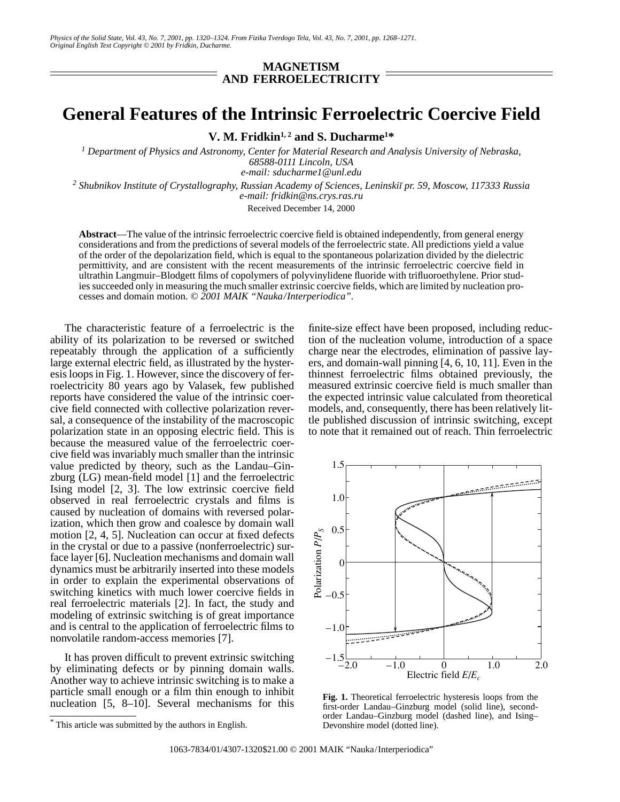### **MAGNETISM AND FERROELECTRICITY**

## **General Features of the Intrinsic Ferroelectric Coercive Field**

**V. M. Fridkin1, 2 and S. Ducharme1 \***

*1 Department of Physics and Astronomy, Center for Material Research and Analysis University of Nebraska, 68588-0111 Lincoln, USA e-mail: sducharme1@unl.edu*

<sup>2</sup> Shubnikov Institute of Crystallography, Russian Academy of Sciences, Leninskiĭ pr. 59, Moscow, 117333 Russia *e-mail: fridkin@ns.crys.ras.ru*

Received December 14, 2000

**Abstract**—The value of the intrinsic ferroelectric coercive field is obtained independently, from general energy considerations and from the predictions of several models of the ferroelectric state. All predictions yield a value of the order of the depolarization field, which is equal to the spontaneous polarization divided by the dielectric permittivity, and are consistent with the recent measurements of the intrinsic ferroelectric coercive field in ultrathin Langmuir–Blodgett films of copolymers of polyvinylidene fluoride with trifluoroethylene. Prior studies succeeded only in measuring the much smaller extrinsic coercive fields, which are limited by nucleation processes and domain motion. *© 2001 MAIK "Nauka/Interperiodica".*

The characteristic feature of a ferroelectric is the ability of its polarization to be reversed or switched repeatably through the application of a sufficiently large external electric field, as illustrated by the hysteresis loops in Fig. 1. However, since the discovery of ferroelectricity 80 years ago by Valasek, few published reports have considered the value of the intrinsic coercive field connected with collective polarization reversal, a consequence of the instability of the macroscopic polarization state in an opposing electric field. This is because the measured value of the ferroelectric coercive field was invariably much smaller than the intrinsic value predicted by theory, such as the Landau–Ginzburg (LG) mean-field model [1] and the ferroelectric Ising model [2, 3]. The low extrinsic coercive field observed in real ferroelectric crystals and films is caused by nucleation of domains with reversed polarization, which then grow and coalesce by domain wall motion [2, 4, 5]. Nucleation can occur at fixed defects in the crystal or due to a passive (nonferroelectric) surface layer [6]. Nucleation mechanisms and domain wall dynamics must be arbitrarily inserted into these models in order to explain the experimental observations of switching kinetics with much lower coercive fields in real ferroelectric materials [2]. In fact, the study and modeling of extrinsic switching is of great importance and is central to the application of ferroelectric films to nonvolatile random-access memories [7].

It has proven difficult to prevent extrinsic switching by eliminating defects or by pinning domain walls. Another way to achieve intrinsic switching is to make a particle small enough or a film thin enough to inhibit nucleation [5, 8–10]. Several mechanisms for this finite-size effect have been proposed, including reduction of the nucleation volume, introduction of a space charge near the electrodes, elimination of passive layers, and domain-wall pinning [4, 6, 10, 11]. Even in the thinnest ferroelectric films obtained previously, the measured extrinsic coercive field is much smaller than the expected intrinsic value calculated from theoretical models, and, consequently, there has been relatively little published discussion of intrinsic switching, except to note that it remained out of reach. Thin ferroelectric



**Fig. 1.** Theoretical ferroelectric hysteresis loops from the first-order Landau–Ginzburg model (solid line), secondorder Landau–Ginzburg model (dashed line), and Ising– Devonshire model (dotted line).

<sup>\*</sup> This article was submitted by the authors in English.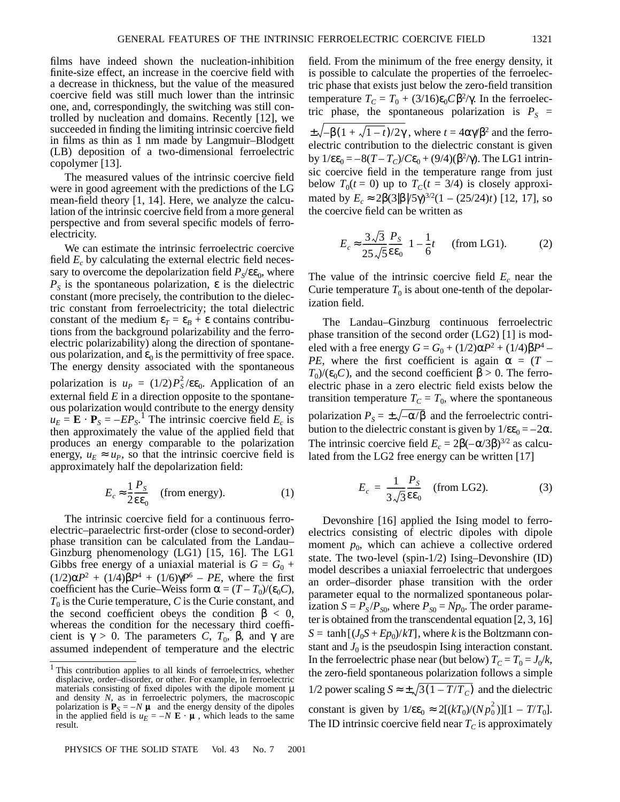films have indeed shown the nucleation-inhibition finite-size effect, an increase in the coercive field with a decrease in thickness, but the value of the measured coercive field was still much lower than the intrinsic one, and, correspondingly, the switching was still controlled by nucleation and domains. Recently [12], we succeeded in finding the limiting intrinsic coercive field in films as thin as 1 nm made by Langmuir–Blodgett (LB) deposition of a two-dimensional ferroelectric copolymer [13].

The measured values of the intrinsic coercive field were in good agreement with the predictions of the LG mean-field theory [1, 14]. Here, we analyze the calculation of the intrinsic coercive field from a more general perspective and from several specific models of ferroelectricity.

We can estimate the intrinsic ferroelectric coercive field  $E_c$  by calculating the external electric field necessary to overcome the depolarization field  $P_S/\epsilon \epsilon_0$ , where  $P<sub>S</sub>$  is the spontaneous polarization,  $\varepsilon$  is the dielectric constant (more precisely, the contribution to the dielectric constant from ferroelectricity; the total dielectric constant of the medium  $\varepsilon_T = \varepsilon_B + \varepsilon$  contains contributions from the background polarizability and the ferroelectric polarizability) along the direction of spontaneous polarization, and  $\varepsilon_0$  is the permittivity of free space. The energy density associated with the spontaneous polarization is  $u_p = (1/2) P_s^2 / \varepsilon \varepsilon_0$ . Application of an external field *E* in a direction opposite to the spontaneous polarization would contribute to the energy density  $u_E = \mathbf{E} \cdot \mathbf{P}_S = -EP_S$ .<sup>1</sup> The intrinsic coercive field  $E_c$  is then approximately the value of the applied field that produces an energy comparable to the polarization energy,  $u_E \approx u_P$ , so that the intrinsic coercive field is approximately half the depolarization field:

$$
E_c \approx \frac{1}{2} \frac{P_S}{\epsilon \epsilon_0} \quad \text{(from energy)}.
$$
 (1)

The intrinsic coercive field for a continuous ferroelectric–paraelectric first-order (close to second-order) phase transition can be calculated from the Landau– Ginzburg phenomenology (LG1) [15, 16]. The LG1 Gibbs free energy of a uniaxial material is  $G = G_0 +$  $(1/2)\alpha P^2 + (1/4)\beta P^4 + (1/6)\gamma P^6 - PE$ , where the first coefficient has the Curie–Weiss form  $\alpha = (T - T_0)/(\varepsilon_0 C)$ ,  $T_0$  is the Curie temperature, *C* is the Curie constant, and the second coefficient obeys the condition  $\beta < 0$ , whereas the condition for the necessary third coefficient is  $\gamma > 0$ . The parameters *C*,  $T_0$ ,  $\beta$ , and  $\gamma$  are assumed independent of temperature and the electric

field. From the minimum of the free energy density, it is possible to calculate the properties of the ferroelectric phase that exists just below the zero-field transition temperature  $T_C = T_0 + (3/16)\epsilon_0 C \beta^2/\gamma$ . In the ferroelectric phase, the spontaneous polarization is  $P<sub>S</sub>$  =  $\pm \sqrt{-\beta(1 + \sqrt{1-t})/2\gamma}$  , where  $t = 4\alpha\gamma/\beta^2$  and the ferroelectric contribution to the dielectric constant is given by  $1/\epsilon \epsilon_0 = -8(T - T_C)/C \epsilon_0 + (9/4)(\beta^2/\gamma)$ . The LG1 intrinsic coercive field in the temperature range from just below  $T_0(t=0)$  up to  $T_C(t=3/4)$  is closely approximated by  $E_c \approx 2\beta(3|\beta|/5\gamma)^{3/2}(1 - (25/24)t)$  [12, 17], so the coercive field can be written as

$$
E_c \approx \frac{3\sqrt{3}}{25\sqrt{5}} \frac{P_s}{\epsilon \epsilon_0} \left(1 - \frac{1}{6}t\right) \quad \text{(from LG1)}.
$$
 (2)

The value of the intrinsic coercive field  $E_c$  near the Curie temperature  $T_0$  is about one-tenth of the depolarization field.

The Landau–Ginzburg continuous ferroelectric phase transition of the second order (LG2) [1] is modeled with a free energy  $G = G_0 + (1/2) \alpha P^2 + (1/4) \beta P^4$  – *PE*, where the first coefficient is again  $\alpha = (T T_0/(\varepsilon_0 C)$ , and the second coefficient  $\beta > 0$ . The ferroelectric phase in a zero electric field exists below the transition temperature  $T_c = T_0$ , where the spontaneous polarization  $P_s = \pm \sqrt{-\alpha/\beta}$  and the ferroelectric contribution to the dielectric constant is given by  $1/\epsilon \epsilon_0 = -2\alpha$ . The intrinsic coercive field  $E_c = 2\beta(-\alpha/3\beta)^{3/2}$  as calculated from the LG2 free energy can be written [17]

$$
E_c = \frac{1}{3\sqrt{3}} \frac{P_S}{\epsilon \epsilon_0} \quad \text{(from LG2)}.
$$
 (3)

Devonshire [16] applied the Ising model to ferroelectrics consisting of electric dipoles with dipole moment  $p_0$ , which can achieve a collective ordered state. The two-level (spin-1/2) Ising–Devonshire (ID) model describes a uniaxial ferroelectric that undergoes an order–disorder phase transition with the order parameter equal to the normalized spontaneous polarization  $S = P_S/P_{S0}$ , where  $P_{S0} = Np_0$ . The order parameter is obtained from the transcendental equation [2, 3, 16]  $S = \tanh[(J_0S + Ep_0)/kT]$ , where *k* is the Boltzmann constant and  $J_0$  is the pseudospin Ising interaction constant. In the ferroelectric phase near (but below)  $T_c = T_0 = J_0/k$ , the zero-field spontaneous polarization follows a simple 1/2 power scaling  $S \approx \pm \sqrt{3(1 - T/T_C)}$  and the dielectric constant is given by  $1/\epsilon \epsilon_0 \approx 2[(kT_0)/(Np_0^2)][1 - T/T_0]$ . The ID intrinsic coercive field near  $T_c$  is approximately

<sup>&</sup>lt;sup>1</sup> This contribution applies to all kinds of ferroelectrics, whether displacive, order–disorder, or other. For example, in ferroelectric materials consisting of fixed dipoles with the dipole moment  $\mu$ and density *N*, as in ferroelectric polymers, the macroscopic polarization is  $P_S = -N\langle \mu \rangle$  and the energy density of the dipoles in the applied field is  $u_E = -N\langle \mathbf{E} \cdot \mathbf{\mu} \rangle$ , which leads to the same result.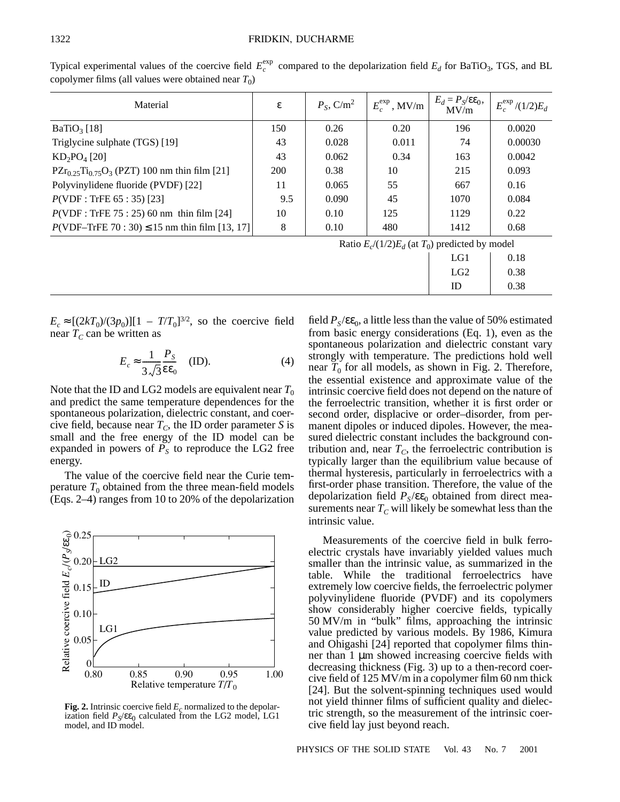Typical experimental values of the coercive field  $E_c^{\text{exp}}$  compared to the depolarization field  $E_d$  for BaTiO<sub>3</sub>, TGS, and BL copolymer films (all values were obtained near  $T_0$ )

| Material                                             | ε                                                   | $P_s$ , C/m <sup>2</sup> | $E_c^{\text{exp}}$ , MV/m | $E_d = P_S / \varepsilon \varepsilon_0,$<br>MV/m | $E_c^{\text{exp}}/(1/2)E_d$ |
|------------------------------------------------------|-----------------------------------------------------|--------------------------|---------------------------|--------------------------------------------------|-----------------------------|
| $BaTiO3$ [18]                                        | 150                                                 | 0.26                     | 0.20                      | 196                                              | 0.0020                      |
| Triglycine sulphate (TGS) [19]                       | 43                                                  | 0.028                    | 0.011                     | 74                                               | 0.00030                     |
| $KD_2PO_4$ [20]                                      | 43                                                  | 0.062                    | 0.34                      | 163                                              | 0.0042                      |
| $PZr_{0.25}Ti_{0.75}O_3$ (PZT) 100 nm thin film [21] | <b>200</b>                                          | 0.38                     | 10                        | 215                                              | 0.093                       |
| Polyvinylidene fluoride (PVDF) [22]                  | 11                                                  | 0.065                    | 55                        | 667                                              | 0.16                        |
| $P(VDF: TrFE 65: 35)$ [23]                           | 9.5                                                 | 0.090                    | 45                        | 1070                                             | 0.084                       |
| $P(VDF: TrFE 75: 25) 60 nm$ thin film [24]           | 10                                                  | 0.10                     | 125                       | 1129                                             | 0.22                        |
| $P(VDF - TrFE 70 : 30) \le 15$ nm thin film [13, 17] | 8                                                   | 0.10                     | 480                       | 1412                                             | 0.68                        |
|                                                      | Ratio $E_c/(1/2)E_d$ (at $T_0$ ) predicted by model |                          |                           |                                                  |                             |
|                                                      |                                                     |                          |                           | LG1                                              | 0.18                        |

 $E_c \approx [(2kT_0)/(3p_0)][1 - T/T_0]^{3/2}$ , so the coercive field near  $T_c$  can be written as

$$
E_c \approx \frac{1}{3\sqrt{3}} \frac{P_S}{\epsilon \epsilon_0} \quad \text{(ID)}.
$$
 (4)

Note that the ID and LG2 models are equivalent near  $T_0$ and predict the same temperature dependences for the spontaneous polarization, dielectric constant, and coercive field, because near  $T_c$ , the ID order parameter *S* is small and the free energy of the ID model can be expanded in powers of  $\overrightarrow{P_S}$  to reproduce the LG2 free energy.

The value of the coercive field near the Curie temperature  $T_0$  obtained from the three mean-field models (Eqs. 2–4) ranges from 10 to 20% of the depolarization



**Fig. 2.** Intrinsic coercive field  $E_c$  normalized to the depolarization field  $P_S$ /εε<sub>0</sub> calculated from the LG2 model, LG1 model, and ID model.

field  $P_S / \varepsilon \varepsilon_0$ , a little less than the value of 50% estimated from basic energy considerations (Eq. 1), even as the spontaneous polarization and dielectric constant vary strongly with temperature. The predictions hold well near  $\overline{T}_0$  for all models, as shown in Fig. 2. Therefore, the essential existence and approximate value of the intrinsic coercive field does not depend on the nature of the ferroelectric transition, whether it is first order or second order, displacive or order–disorder, from permanent dipoles or induced dipoles. However, the measured dielectric constant includes the background contribution and, near  $T_c$ , the ferroelectric contribution is typically larger than the equilibrium value because of thermal hysteresis, particularly in ferroelectrics with a first-order phase transition. Therefore, the value of the depolarization field  $P_S / \varepsilon \varepsilon_0$  obtained from direct measurements near  $T_C$  will likely be somewhat less than the intrinsic value.

LG2 | 0.38  $ID \t 0.38$ 

Measurements of the coercive field in bulk ferroelectric crystals have invariably yielded values much smaller than the intrinsic value, as summarized in the table. While the traditional ferroelectrics have extremely low coercive fields, the ferroelectric polymer polyvinylidene fluoride (PVDF) and its copolymers show considerably higher coercive fields, typically 50 MV/m in "bulk" films, approaching the intrinsic value predicted by various models. By 1986, Kimura and Ohigashi [24] reported that copolymer films thinner than 1 µm showed increasing coercive fields with decreasing thickness (Fig. 3) up to a then-record coercive field of 125 MV/m in a copolymer film 60 nm thick [24]. But the solvent-spinning techniques used would not yield thinner films of sufficient quality and dielectric strength, so the measurement of the intrinsic coercive field lay just beyond reach.

PHYSICS OF THE SOLID STATE Vol. 43 No. 7 2001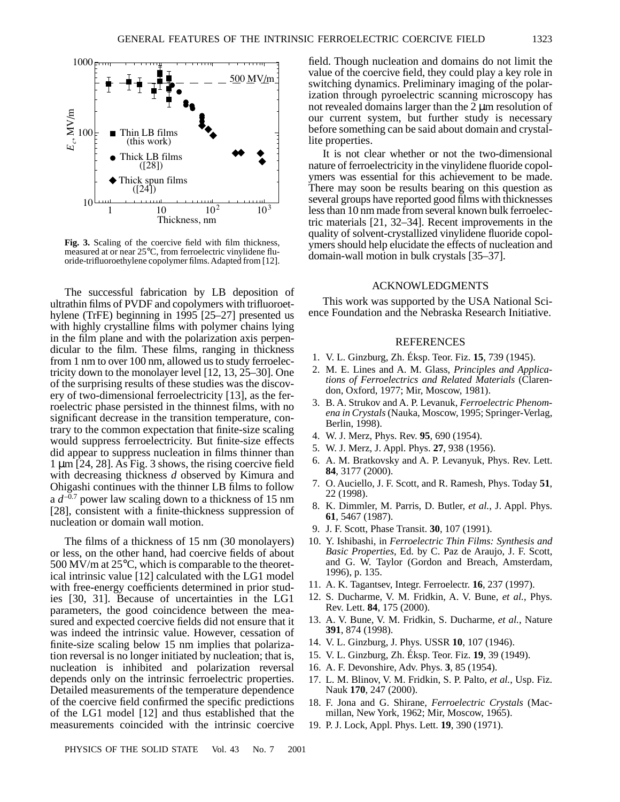

**Fig. 3.** Scaling of the coercive field with film thickness, measured at or near 25°C, from ferroelectric vinylidene fluoride-trifluoroethylene copolymer films. Adapted from [12].

The successful fabrication by LB deposition of ultrathin films of PVDF and copolymers with trifluoroethylene (TrFE) beginning in 1995 [25–27] presented us with highly crystalline films with polymer chains lying in the film plane and with the polarization axis perpendicular to the film. These films, ranging in thickness from 1 nm to over 100 nm, allowed us to study ferroelectricity down to the monolayer level [12, 13, 25–30]. One of the surprising results of these studies was the discovery of two-dimensional ferroelectricity [13], as the ferroelectric phase persisted in the thinnest films, with no significant decrease in the transition temperature, contrary to the common expectation that finite-size scaling would suppress ferroelectricity. But finite-size effects did appear to suppress nucleation in films thinner than 1 µm [24, 28]. As Fig. 3 shows, the rising coercive field with decreasing thickness *d* observed by Kimura and Ohigashi continues with the thinner LB films to follow a  $d^{-0.7}$  power law scaling down to a thickness of 15 nm [28], consistent with a finite-thickness suppression of nucleation or domain wall motion.

The films of a thickness of 15 nm (30 monolayers) or less, on the other hand, had coercive fields of about 500 MV/m at 25°C, which is comparable to the theoretical intrinsic value [12] calculated with the LG1 model with free-energy coefficients determined in prior studies [30, 31]. Because of uncertainties in the LG1 parameters, the good coincidence between the measured and expected coercive fields did not ensure that it was indeed the intrinsic value. However, cessation of finite-size scaling below 15 nm implies that polarization reversal is no longer initiated by nucleation; that is, nucleation is inhibited and polarization reversal depends only on the intrinsic ferroelectric properties. Detailed measurements of the temperature dependence of the coercive field confirmed the specific predictions of the LG1 model [12] and thus established that the measurements coincided with the intrinsic coercive

field. Though nucleation and domains do not limit the value of the coercive field, they could play a key role in switching dynamics. Preliminary imaging of the polarization through pyroelectric scanning microscopy has not revealed domains larger than the 2 µm resolution of our current system, but further study is necessary before something can be said about domain and crystallite properties.

It is not clear whether or not the two-dimensional nature of ferroelectricity in the vinylidene fluoride copolymers was essential for this achievement to be made. There may soon be results bearing on this question as several groups have reported good films with thicknesses less than 10 nm made from several known bulk ferroelectric materials [21, 32–34]. Recent improvements in the quality of solvent-crystallized vinylidene fluoride copolymers should help elucidate the effects of nucleation and domain-wall motion in bulk crystals [35–37].

#### ACKNOWLEDGMENTS

This work was supported by the USA National Science Foundation and the Nebraska Research Initiative.

### **REFERENCES**

- 1. V. L. Ginzburg, Zh. Éksp. Teor. Fiz. **15**, 739 (1945).
- 2. M. E. Lines and A. M. Glass, *Principles and Applications of Ferroelectrics and Related Materials* (Clarendon, Oxford, 1977; Mir, Moscow, 1981).
- 3. B. A. Strukov and A. P. Levanuk, *Ferroelectric Phenomena in Crystals* (Nauka, Moscow, 1995; Springer-Verlag, Berlin, 1998).
- 4. W. J. Merz, Phys. Rev. **95**, 690 (1954).
- 5. W. J. Merz, J. Appl. Phys. **27**, 938 (1956).
- 6. A. M. Bratkovsky and A. P. Levanyuk, Phys. Rev. Lett. **84**, 3177 (2000).
- 7. O. Auciello, J. F. Scott, and R. Ramesh, Phys. Today **51**, 22 (1998).
- 8. K. Dimmler, M. Parris, D. Butler, *et al.*, J. Appl. Phys. **61**, 5467 (1987).
- 9. J. F. Scott, Phase Transit. **30**, 107 (1991).
- 10. Y. Ishibashi, in *Ferroelectric Thin Films: Synthesis and Basic Properties*, Ed. by C. Paz de Araujo, J. F. Scott, and G. W. Taylor (Gordon and Breach, Amsterdam, 1996), p. 135.
- 11. A. K. Tagantsev, Integr. Ferroelectr. **16**, 237 (1997).
- 12. S. Ducharme, V. M. Fridkin, A. V. Bune, *et al.*, Phys. Rev. Lett. **84**, 175 (2000).
- 13. A. V. Bune, V. M. Fridkin, S. Ducharme, *et al.*, Nature **391**, 874 (1998).
- 14. V. L. Ginzburg, J. Phys. USSR **10**, 107 (1946).
- 15. V. L. Ginzburg, Zh. Éksp. Teor. Fiz. **19**, 39 (1949).
- 16. A. F. Devonshire, Adv. Phys. **3**, 85 (1954).
- 17. L. M. Blinov, V. M. Fridkin, S. P. Palto, *et al.*, Usp. Fiz. Nauk **170**, 247 (2000).
- 18. F. Jona and G. Shirane, *Ferroelectric Crystals* (Macmillan, New York, 1962; Mir, Moscow, 1965).
- 19. P. J. Lock, Appl. Phys. Lett. **19**, 390 (1971).